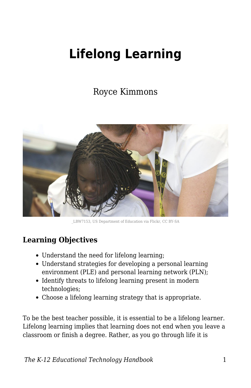# **Lifelong Learning**

# Royce Kimmons



\_LBW7153, US Department of Education via Flickr, CC BY-SA

#### **Learning Objectives**

- Understand the need for lifelong learning;
- Understand strategies for developing a personal learning environment (PLE) and personal learning network (PLN);
- Identify threats to lifelong learning present in modern technologies;
- Choose a lifelong learning strategy that is appropriate.

To be the best teacher possible, it is essential to be a lifelong learner. Lifelong learning implies that learning does not end when you leave a classroom or finish a degree. Rather, as you go through life it is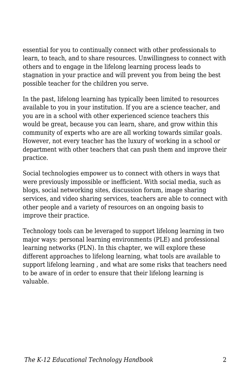essential for you to continually connect with other professionals to learn, to teach, and to share resources. Unwillingness to connect with others and to engage in the lifelong learning process leads to stagnation in your practice and will prevent you from being the best possible teacher for the children you serve.

In the past, lifelong learning has typically been limited to resources available to you in your institution. If you are a science teacher, and you are in a school with other experienced science teachers this would be great, because you can learn, share, and grow within this community of experts who are are all working towards similar goals. However, not every teacher has the luxury of working in a school or department with other teachers that can push them and improve their practice.

Social technologies empower us to connect with others in ways that were previously impossible or inefficient. With social media, such as blogs, social networking sites, discussion forum, image sharing services, and video sharing services, teachers are able to connect with other people and a variety of resources on an ongoing basis to improve their practice.

Technology tools can be leveraged to support lifelong learning in two major ways: personal learning environments (PLE) and professional learning networks (PLN). In this chapter, we will explore these different approaches to lifelong learning, what tools are available to support lifelong learning , and what are some risks that teachers need to be aware of in order to ensure that their lifelong learning is valuable.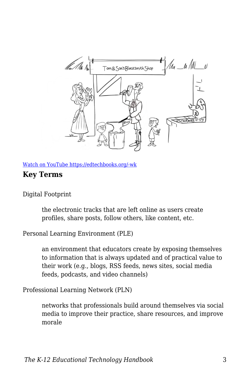

[Watch on YouTube https://edtechbooks.org/-wk](https://www.youtube.com/embed/NSU2hdlY3BY?autoplay=1&rel=0&showinfo=0&modestbranding=1)

#### **Key Terms**

Digital Footprint

the electronic tracks that are left online as users create profiles, share posts, follow others, like content, etc.

Personal Learning Environment (PLE)

an environment that educators create by exposing themselves to information that is always updated and of practical value to their work (e.g., blogs, RSS feeds, news sites, social media feeds, podcasts, and video channels)

Professional Learning Network (PLN)

networks that professionals build around themselves via social media to improve their practice, share resources, and improve morale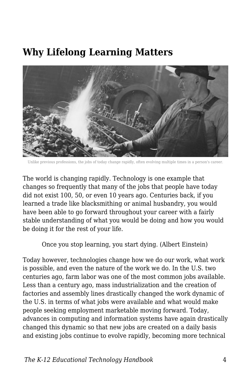# **Why Lifelong Learning Matters**



Unlike previous professions, the jobs of today change rapidly, often evolving multiple times in a person's career.

The world is changing rapidly. Technology is one example that changes so frequently that many of the jobs that people have today did not exist 100, 50, or even 10 years ago. Centuries back, if you learned a trade like blacksmithing or animal husbandry, you would have been able to go forward throughout your career with a fairly stable understanding of what you would be doing and how you would be doing it for the rest of your life.

Once you stop learning, you start dying. (Albert Einstein)

Today however, technologies change how we do our work, what work is possible, and even the nature of the work we do. In the U.S. two centuries ago, farm labor was one of the most common jobs available. Less than a century ago, mass industrialization and the creation of factories and assembly lines drastically changed the work dynamic of the U.S. in terms of what jobs were available and what would make people seeking employment marketable moving forward. Today, advances in computing and information systems have again drastically changed this dynamic so that new jobs are created on a daily basis and existing jobs continue to evolve rapidly, becoming more technical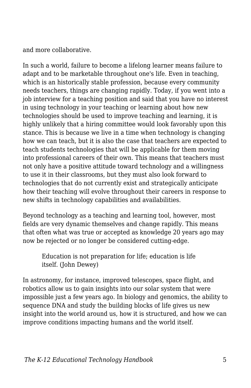and more collaborative.

In such a world, failure to become a lifelong learner means failure to adapt and to be marketable throughout one's life. Even in teaching, which is an historically stable profession, because every community needs teachers, things are changing rapidly. Today, if you went into a job interview for a teaching position and said that you have no interest in using technology in your teaching or learning about how new technologies should be used to improve teaching and learning, it is highly unlikely that a hiring committee would look favorably upon this stance. This is because we live in a time when technology is changing how we can teach, but it is also the case that teachers are expected to teach students technologies that will be applicable for them moving into professional careers of their own. This means that teachers must not only have a positive attitude toward technology and a willingness to use it in their classrooms, but they must also look forward to technologies that do not currently exist and strategically anticipate how their teaching will evolve throughout their careers in response to new shifts in technology capabilities and availabilities.

Beyond technology as a teaching and learning tool, however, most fields are very dynamic themselves and change rapidly. This means that often what was true or accepted as knowledge 20 years ago may now be rejected or no longer be considered cutting-edge.

Education is not preparation for life; education is life itself. (John Dewey)

In astronomy, for instance, improved telescopes, space flight, and robotics allow us to gain insights into our solar system that were impossible just a few years ago. In biology and genomics, the ability to sequence DNA and study the building blocks of life gives us new insight into the world around us, how it is structured, and how we can improve conditions impacting humans and the world itself.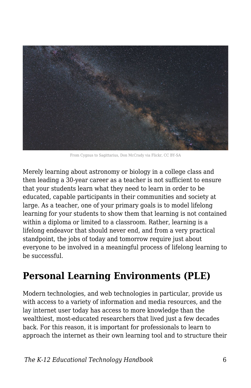

From Cygnus to Sagittarius, Don McCrady via Flickr, CC BY-SA

Merely learning about astronomy or biology in a college class and then leading a 30-year career as a teacher is not sufficient to ensure that your students learn what they need to learn in order to be educated, capable participants in their communities and society at large. As a teacher, one of your primary goals is to model lifelong learning for your students to show them that learning is not contained within a diploma or limited to a classroom. Rather, learning is a lifelong endeavor that should never end, and from a very practical standpoint, the jobs of today and tomorrow require just about everyone to be involved in a meaningful process of lifelong learning to be successful.

# **Personal Learning Environments (PLE)**

Modern technologies, and web technologies in particular, provide us with access to a variety of information and media resources, and the lay internet user today has access to more knowledge than the wealthiest, most-educated researchers that lived just a few decades back. For this reason, it is important for professionals to learn to approach the internet as their own learning tool and to structure their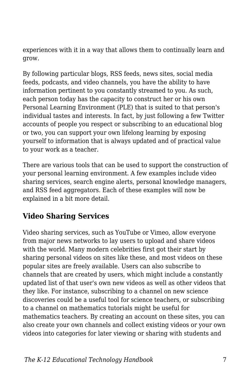experiences with it in a way that allows them to continually learn and grow.

By following particular blogs, RSS feeds, news sites, social media feeds, podcasts, and video channels, you have the ability to have information pertinent to you constantly streamed to you. As such, each person today has the capacity to construct her or his own Personal Learning Environment (PLE) that is suited to that person's individual tastes and interests. In fact, by just following a few Twitter accounts of people you respect or subscribing to an educational blog or two, you can support your own lifelong learning by exposing yourself to information that is always updated and of practical value to your work as a teacher.

There are various tools that can be used to support the construction of your personal learning environment. A few examples include video sharing services, search engine alerts, personal knowledge managers, and RSS feed aggregators. Each of these examples will now be explained in a bit more detail.

#### **Video Sharing Services**

Video sharing services, such as YouTube or Vimeo, allow everyone from major news networks to lay users to upload and share videos with the world. Many modern celebrities first got their start by sharing personal videos on sites like these, and most videos on these popular sites are freely available. Users can also subscribe to channels that are created by users, which might include a constantly updated list of that user's own new videos as well as other videos that they like. For instance, subscribing to a channel on new science discoveries could be a useful tool for science teachers, or subscribing to a channel on mathematics tutorials might be useful for mathematics teachers. By creating an account on these sites, you can also create your own channels and collect existing videos or your own videos into categories for later viewing or sharing with students and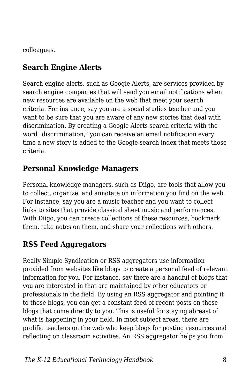colleagues.

### **Search Engine Alerts**

Search engine alerts, such as Google Alerts, are services provided by search engine companies that will send you email notifications when new resources are available on the web that meet your search criteria. For instance, say you are a social studies teacher and you want to be sure that you are aware of any new stories that deal with discrimination. By creating a Google Alerts search criteria with the word "discrimination," you can receive an email notification every time a new story is added to the Google search index that meets those criteria.

### **Personal Knowledge Managers**

Personal knowledge managers, such as Diigo, are tools that allow you to collect, organize, and annotate on information you find on the web. For instance, say you are a music teacher and you want to collect links to sites that provide classical sheet music and performances. With Diigo, you can create collections of these resources, bookmark them, take notes on them, and share your collections with others.

## **RSS Feed Aggregators**

Really Simple Syndication or RSS aggregators use information provided from websites like blogs to create a personal feed of relevant information for you. For instance, say there are a handful of blogs that you are interested in that are maintained by other educators or professionals in the field. By using an RSS aggregator and pointing it to those blogs, you can get a constant feed of recent posts on those blogs that come directly to you. This is useful for staying abreast of what is happening in your field. In most subject areas, there are prolific teachers on the web who keep blogs for posting resources and reflecting on classroom activities. An RSS aggregator helps you from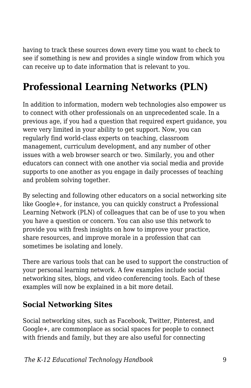having to track these sources down every time you want to check to see if something is new and provides a single window from which you can receive up to date information that is relevant to you.

# **Professional Learning Networks (PLN)**

In addition to information, modern web technologies also empower us to connect with other professionals on an unprecedented scale. In a previous age, if you had a question that required expert guidance, you were very limited in your ability to get support. Now, you can regularly find world-class experts on teaching, classroom management, curriculum development, and any number of other issues with a web browser search or two. Similarly, you and other educators can connect with one another via social media and provide supports to one another as you engage in daily processes of teaching and problem solving together.

By selecting and following other educators on a social networking site like Google+, for instance, you can quickly construct a Professional Learning Network (PLN) of colleagues that can be of use to you when you have a question or concern. You can also use this network to provide you with fresh insights on how to improve your practice, share resources, and improve morale in a profession that can sometimes be isolating and lonely.

There are various tools that can be used to support the construction of your personal learning network. A few examples include social networking sites, blogs, and video conferencing tools. Each of these examples will now be explained in a bit more detail.

#### **Social Networking Sites**

Social networking sites, such as Facebook, Twitter, Pinterest, and Google+, are commonplace as social spaces for people to connect with friends and family, but they are also useful for connecting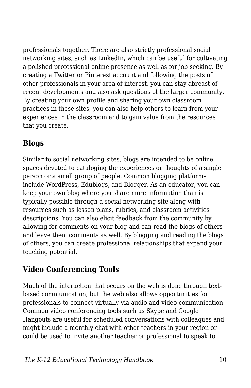professionals together. There are also strictly professional social networking sites, such as LinkedIn, which can be useful for cultivating a polished professional online presence as well as for job seeking. By creating a Twitter or Pinterest account and following the posts of other professionals in your area of interest, you can stay abreast of recent developments and also ask questions of the larger community. By creating your own profile and sharing your own classroom practices in these sites, you can also help others to learn from your experiences in the classroom and to gain value from the resources that you create.

#### **Blogs**

Similar to social networking sites, blogs are intended to be online spaces devoted to cataloging the experiences or thoughts of a single person or a small group of people. Common blogging platforms include WordPress, Edublogs, and Blogger. As an educator, you can keep your own blog where you share more information than is typically possible through a social networking site along with resources such as lesson plans, rubrics, and classroom activities descriptions. You can also elicit feedback from the community by allowing for comments on your blog and can read the blogs of others and leave them comments as well. By blogging and reading the blogs of others, you can create professional relationships that expand your teaching potential.

### **Video Conferencing Tools**

Much of the interaction that occurs on the web is done through textbased communication, but the web also allows opportunities for professionals to connect virtually via audio and video communication. Common video conferencing tools such as Skype and Google Hangouts are useful for scheduled conversations with colleagues and might include a monthly chat with other teachers in your region or could be used to invite another teacher or professional to speak to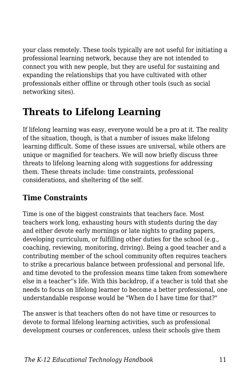your class remotely. These tools typically are not useful for initiating a professional learning network, because they are not intended to connect you with new people, but they are useful for sustaining and expanding the relationships that you have cultivated with other professionals either offline or through other tools (such as social networking sites).

# **Threats to Lifelong Learning**

If lifelong learning was easy, everyone would be a pro at it. The reality of the situation, though, is that a number of issues make lifelong learning difficult. Some of these issues are universal, while others are unique or magnified for teachers. We will now briefly discuss three threats to lifelong learning along with suggestions for addressing them. These threats include: time constraints, professional considerations, and sheltering of the self.

#### **Time Constraints**

Time is one of the biggest constraints that teachers face. Most teachers work long, exhausting hours with students during the day and either devote early mornings or late nights to grading papers, developing curriculum, or fulfilling other duties for the school (e.g., coaching, reviewing, monitoring, driving). Being a good teacher and a contributing member of the school community often requires teachers to strike a precarious balance between professional and personal life, and time devoted to the profession means time taken from somewhere else in a teacher''s life. With this backdrop, if a teacher is told that she needs to focus on lifelong learner to become a better professional, one understandable response would be "When do I have time for that?"

The answer is that teachers often do not have time or resources to devote to formal lifelong learning activities, such as professional development courses or conferences, unless their schools give them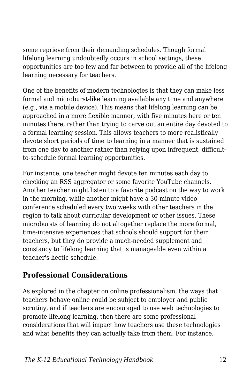some reprieve from their demanding schedules. Though formal lifelong learning undoubtedly occurs in school settings, these opportunities are too few and far between to provide all of the lifelong learning necessary for teachers.

One of the benefits of modern technologies is that they can make less formal and microburst-like learning available any time and anywhere (e.g., via a mobile device). This means that lifelong learning can be approached in a more flexible manner, with five minutes here or ten minutes there, rather than trying to carve out an entire day devoted to a formal learning session. This allows teachers to more realistically devote short periods of time to learning in a manner that is sustained from one day to another rather than relying upon infrequent, difficultto-schedule formal learning opportunities.

For instance, one teacher might devote ten minutes each day to checking an RSS aggregator or some favorite YouTube channels. Another teacher might listen to a favorite podcast on the way to work in the morning, while another might have a 30-minute video conference scheduled every two weeks with other teachers in the region to talk about curricular development or other issues. These microbursts of learning do not altogether replace the more formal, time-intensive experiences that schools should support for their teachers, but they do provide a much-needed supplement and constancy to lifelong learning that is manageable even within a teacher's hectic schedule.

#### **Professional Considerations**

As explored in the chapter on online professionalism, the ways that teachers behave online could be subject to employer and public scrutiny, and if teachers are encouraged to use web technologies to promote lifelong learning, then there are some professional considerations that will impact how teachers use these technologies and what benefits they can actually take from them. For instance,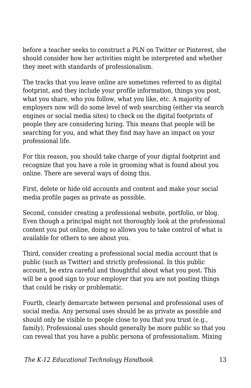before a teacher seeks to construct a PLN on Twitter or Pinterest, she should consider how her activities might be interpreted and whether they meet with standards of professionalism.

The tracks that you leave online are sometimes referred to as digital footprint, and they include your profile information, things you post, what you share, who you follow, what you like, etc. A majority of employers now will do some level of web searching (either via search engines or social media sites) to check on the digital footprints of people they are considering hiring. This means that people will be searching for you, and what they find may have an impact on your professional life.

For this reason, you should take charge of your digital footprint and recognize that you have a role in grooming what is found about you online. There are several ways of doing this.

First, delete or hide old accounts and content and make your social media profile pages as private as possible.

Second, consider creating a professional website, portfolio, or blog. Even though a principal might not thoroughly look at the professional content you put online, doing so allows you to take control of what is available for others to see about you.

Third, consider creating a professional social media account that is public (such as Twitter) and strictly professional. In this public account, be extra careful and thoughtful about what you post. This will be a good sign to your employer that you are not posting things that could be risky or problematic.

Fourth, clearly demarcate between personal and professional uses of social media. Any personal uses should be as private as possible and should only be visible to people close to you that you trust (e.g., family). Professional uses should generally be more public so that you can reveal that you have a public persona of professionalism. Mixing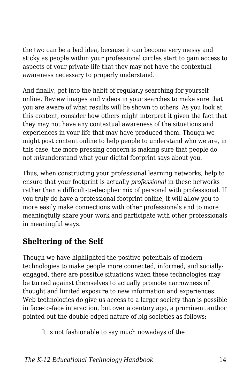the two can be a bad idea, because it can become very messy and sticky as people within your professional circles start to gain access to aspects of your private life that they may not have the contextual awareness necessary to properly understand.

And finally, get into the habit of regularly searching for yourself online. Review images and videos in your searches to make sure that you are aware of what results will be shown to others. As you look at this content, consider how others might interpret it given the fact that they may not have any contextual awareness of the situations and experiences in your life that may have produced them. Though we might post content online to help people to understand who we are, in this case, the more pressing concern is making sure that people do not *mis*understand what your digital footprint says about you.

Thus, when constructing your professional learning networks, help to ensure that your footprint is actually *professional* in these networks rather than a difficult-to-decipher mix of personal with professional. If you truly do have a professional footprint online, it will allow you to more easily make connections with other professionals and to more meaningfully share your work and participate with other professionals in meaningful ways.

### **Sheltering of the Self**

Though we have highlighted the positive potentials of modern technologies to make people more connected, informed, and sociallyengaged, there are possible situations when these technologies may be turned against themselves to actually promote narrowness of thought and limited exposure to new information and experiences. Web technologies do give us access to a larger society than is possible in face-to-face interaction, but over a century ago, a prominent author pointed out the double-edged nature of big societies as follows:

It is not fashionable to say much nowadays of the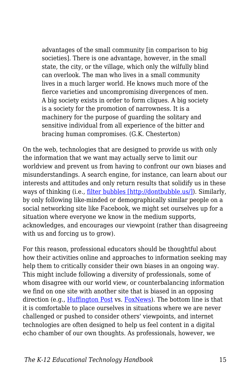advantages of the small community [in comparison to big societies]. There is one advantage, however, in the small state, the city, or the village, which only the wilfully blind can overlook. The man who lives in a small community lives in a much larger world. He knows much more of the fierce varieties and uncompromising divergences of men. A big society exists in order to form cliques. A big society is a society for the promotion of narrowness. It is a machinery for the purpose of guarding the solitary and sensitive individual from all experience of the bitter and bracing human compromises. (G.K. Chesterton)

On the web, technologies that are designed to provide us with only the information that we want may actually serve to limit our worldview and prevent us from having to confront our own biases and misunderstandings. A search engine, for instance, can learn about our interests and attitudes and only return results that solidify us in these ways of thinking (i.e., [filter bubbles \[http://dontbubble.us/\]](http://dontbubble.us/)). Similarly, by only following like-minded or demographically similar people on a social networking site like Facebook, we might set ourselves up for a situation where everyone we know in the medium supports, acknowledges, and encourages our viewpoint (rather than disagreeing with us and forcing us to grow).

For this reason, professional educators should be thoughtful about how their activities online and approaches to information seeking may help them to critically consider their own biases in an ongoing way. This might include following a diversity of professionals, some of whom disagree with our world view, or counterbalancing information we find on one site with another site that is biased in an opposing direction (e.g., [Huffington Post](http://www.huffingtonpost.com/) vs. [FoxNews\)](http://www.foxnews.com/). The bottom line is that it is comfortable to place ourselves in situations where we are never challenged or pushed to consider others' viewpoints, and internet technologies are often designed to help us feel content in a digital echo chamber of our own thoughts. As professionals, however, we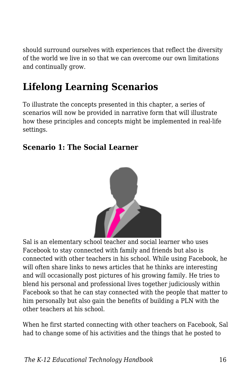should surround ourselves with experiences that reflect the diversity of the world we live in so that we can overcome our own limitations and continually grow.

# **Lifelong Learning Scenarios**

To illustrate the concepts presented in this chapter, a series of scenarios will now be provided in narrative form that will illustrate how these principles and concepts might be implemented in real-life settings.

#### **Scenario 1: The Social Learner**



Sal is an elementary school teacher and social learner who uses Facebook to stay connected with family and friends but also is connected with other teachers in his school. While using Facebook, he will often share links to news articles that he thinks are interesting and will occasionally post pictures of his growing family. He tries to blend his personal and professional lives together judiciously within Facebook so that he can stay connected with the people that matter to him personally but also gain the benefits of building a PLN with the other teachers at his school.

When he first started connecting with other teachers on Facebook, Sal had to change some of his activities and the things that he posted to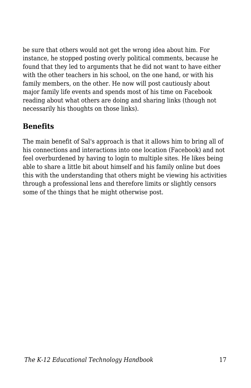be sure that others would not get the wrong idea about him. For instance, he stopped posting overly political comments, because he found that they led to arguments that he did not want to have either with the other teachers in his school, on the one hand, or with his family members, on the other. He now will post cautiously about major family life events and spends most of his time on Facebook reading about what others are doing and sharing links (though not necessarily his thoughts on those links).

#### **Benefits**

The main benefit of Sal's approach is that it allows him to bring all of his connections and interactions into one location (Facebook) and not feel overburdened by having to login to multiple sites. He likes being able to share a little bit about himself and his family online but does this with the understanding that others might be viewing his activities through a professional lens and therefore limits or slightly censors some of the things that he might otherwise post.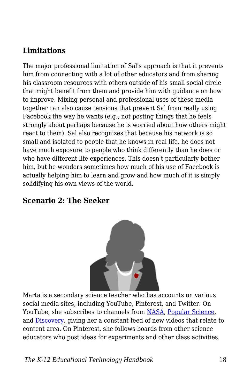#### **Limitations**

The major professional limitation of Sal's approach is that it prevents him from connecting with a lot of other educators and from sharing his classroom resources with others outside of his small social circle that might benefit from them and provide him with guidance on how to improve. Mixing personal and professional uses of these media together can also cause tensions that prevent Sal from really using Facebook the way he wants (e.g., not posting things that he feels strongly about perhaps because he is worried about how others might react to them). Sal also recognizes that because his network is so small and isolated to people that he knows in real life, he does not have much exposure to people who think differently than he does or who have different life experiences. This doesn't particularly bother him, but he wonders sometimes how much of his use of Facebook is actually helping him to learn and grow and how much of it is simply solidifying his own views of the world.

#### **Scenario 2: The Seeker**



Marta is a secondary science teacher who has accounts on various social media sites, including YouTube, Pinterest, and Twitter. On YouTube, she subscribes to channels from [NASA,](https://www.youtube.com/user/NASAtelevision) [Popular Science](https://www.youtube.com/user/Popscivideo), and [Discovery,](https://www.youtube.com/user/DiscoveryNetworks) giving her a constant feed of new videos that relate to content area. On Pinterest, she follows boards from other science educators who post ideas for experiments and other class activities.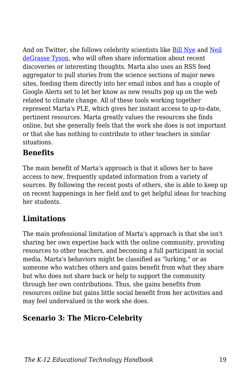And on Twitter, she follows celebrity scientists like [Bill Nye](https://twitter.com/BillNye) and [Neil](https://twitter.com/neiltyson) [deGrasse Tyson](https://twitter.com/neiltyson), who will often share information about recent discoveries or interesting thoughts. Marta also uses an RSS feed aggregator to pull stories from the science sections of major news sites, feeding them directly into her email inbox and has a couple of Google Alerts set to let her know as new results pop up on the web related to climate change. All of these tools working together represent Marta's PLE, which gives her instant access to up-to-date, pertinent resources. Marta greatly values the resources she finds online, but she generally feels that the work she does is not important or that she has nothing to contribute to other teachers in similar situations.

#### **Benefits**

The main benefit of Marta's approach is that it allows her to have access to new, frequently updated information from a variety of sources. By following the recent posts of others, she is able to keep up on recent happenings in her field and to get helpful ideas for teaching her students.

### **Limitations**

The main professional limitation of Marta's approach is that she isn't sharing her own expertise back with the online community, providing resources to other teachers, and becoming a full participant in social media. Marta's behaviors might be classified as "lurking," or as someone who watches others and gains benefit from what they share but who does not share back or help to support the community through her own contributions. Thus, she gains benefits from resources online but gains little social benefit from her activities and may feel undervalued in the work she does.

### **Scenario 3: The Micro-Celebrity**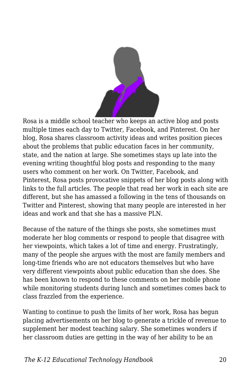

Rosa is a middle school teacher who keeps an active blog and posts multiple times each day to Twitter, Facebook, and Pinterest. On her blog, Rosa shares classroom activity ideas and writes position pieces about the problems that public education faces in her community, state, and the nation at large. She sometimes stays up late into the evening writing thoughtful blog posts and responding to the many users who comment on her work. On Twitter, Facebook, and Pinterest, Rosa posts provocative snippets of her blog posts along with links to the full articles. The people that read her work in each site are different, but she has amassed a following in the tens of thousands on Twitter and Pinterest, showing that many people are interested in her ideas and work and that she has a massive PLN.

Because of the nature of the things she posts, she sometimes must moderate her blog comments or respond to people that disagree with her viewpoints, which takes a lot of time and energy. Frustratingly, many of the people she argues with the most are family members and long-time friends who are not educators themselves but who have very different viewpoints about public education than she does. She has been known to respond to these comments on her mobile phone while monitoring students during lunch and sometimes comes back to class frazzled from the experience.

Wanting to continue to push the limits of her work, Rosa has begun placing advertisements on her blog to generate a trickle of revenue to supplement her modest teaching salary. She sometimes wonders if her classroom duties are getting in the way of her ability to be an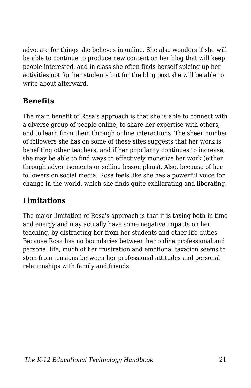advocate for things she believes in online. She also wonders if she will be able to continue to produce new content on her blog that will keep people interested, and in class she often finds herself spicing up her activities not for her students but for the blog post she will be able to write about afterward.

#### **Benefits**

The main benefit of Rosa's approach is that she is able to connect with a diverse group of people online, to share her expertise with others, and to learn from them through online interactions. The sheer number of followers she has on some of these sites suggests that her work is benefiting other teachers, and if her popularity continues to increase, she may be able to find ways to effectively monetize her work (either through advertisements or selling lesson plans). Also, because of her followers on social media, Rosa feels like she has a powerful voice for change in the world, which she finds quite exhilarating and liberating.

#### **Limitations**

The major limitation of Rosa's approach is that it is taxing both in time and energy and may actually have some negative impacts on her teaching, by distracting her from her students and other life duties. Because Rosa has no boundaries between her online professional and personal life, much of her frustration and emotional taxation seems to stem from tensions between her professional attitudes and personal relationships with family and friends.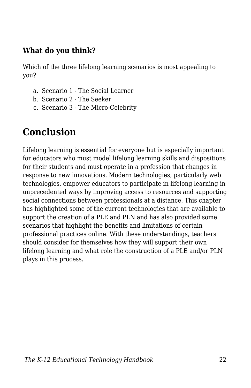#### **What do you think?**

Which of the three lifelong learning scenarios is most appealing to you?

- a. Scenario 1 The Social Learner
- b. Scenario 2 The Seeker
- c. Scenario 3 The Micro-Celebrity

# **Conclusion**

Lifelong learning is essential for everyone but is especially important for educators who must model lifelong learning skills and dispositions for their students and must operate in a profession that changes in response to new innovations. Modern technologies, particularly web technologies, empower educators to participate in lifelong learning in unprecedented ways by improving access to resources and supporting social connections between professionals at a distance. This chapter has highlighted some of the current technologies that are available to support the creation of a PLE and PLN and has also provided some scenarios that highlight the benefits and limitations of certain professional practices online. With these understandings, teachers should consider for themselves how they will support their own lifelong learning and what role the construction of a PLE and/or PLN plays in this process.